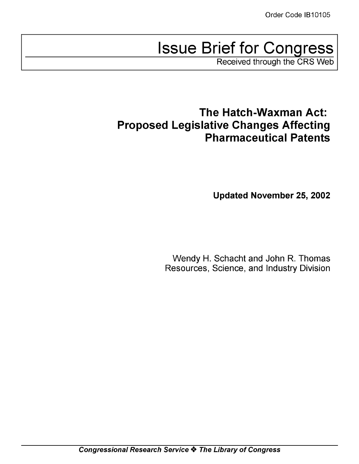# Issue Brief for Congress

Received through the CRS Web

# The Hatch-Waxman Act: Proposed Legislative Changes Affecting Pharmaceutical Patents

Updated November 25, 2002

Wendy H. Schacht and John R. Thomas Resources, Science, and Industry Division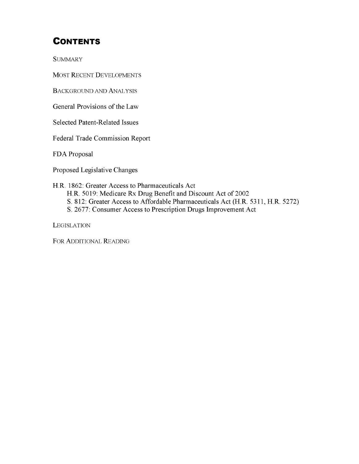## **CONTENTS**

**SUMMARY** 

MOST RECENT DEVELOPMENTS

BACKGROUND **AND** ANALYSIS

General Provisions of the Law

Selected Patent-Related Issues

Federal Trade Commission Report

FDA Proposal

Proposed Legislative Changes

H.R. 1862: Greater Access to Pharmaceuticals Act H.R. 5019: Medicare Rx Drug Benefit and Discount Act of 2002 **S.** 812: Greater Access to Affordable Pharmaceuticals Act (H.R. 5311, H.R. 5272) **S.** 2677: Consumer Access to Prescription Drugs Improvement Act

**LEGISLATION** 

FOR ADDITIONAL READING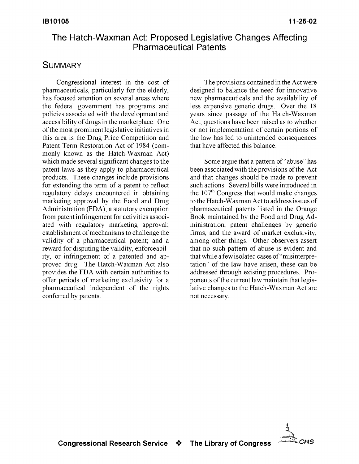## The Hatch-Waxman Act: Proposed Legislative Changes Affecting Pharmaceutical Patents

#### **SUMMARY**

Congressional interest in the cost of pharmaceuticals, particularly for the elderly, has focused attention on several areas where the federal government has programs and policies associated with the development and accessibility of drugs in the marketplace. One of the most prominent legislative initiatives in this area is the Drug Price Competition and Patent Term Restoration Act of 1984 (commonly known as the Hatch-Waxman Act) which made several significant changes to the patent laws as they apply to pharmaceutical products. These changes include provisions for extending the term of a patent to reflect regulatory delays encountered in obtaining marketing approval by the Food and Drug Administration (FDA); a statutory exemption from patent infringement for activities associated with regulatory marketing approval; establishment of mechanisms to challenge the validity of a pharmaceutical patent; and a reward for disputing the validity, enforceability, or infringement of a patented and approved drug. The Hatch-Waxman Act also provides the FDA with certain authorities to offer periods of marketing exclusivity for a pharmaceutical independent of the rights conferred by patents.

The provisions contained in the Act were designed to balance the need for innovative new pharmaceuticals and the availability of less expensive generic drugs. Over the 18 years since passage of the Hatch-Waxman Act, questions have been raised as to whether or not implementation of certain portions of the law has led to unintended consequences that have affected this balance.

Some argue that a pattern of "abuse" has been associated with the provisions of the Act and that changes should be made to prevent such actions. Several bills were introduced in the 107<sup>th</sup> Congress that would make changes to the Hatch-Waxman Act to address issues of pharmaceutical patents listed in the Orange Book maintained by the Food and Drug Administration, patent challenges by generic firms, and the award of market exclusivity, among other things. Other observers assert that no such pattern of abuse is evident and that while a few isolated cases of"misinterpretation" of the law have arisen, these can be addressed through existing procedures. Proponents of the current law maintain that legislative changes to the Hatch-Waxman Act are not necessary.

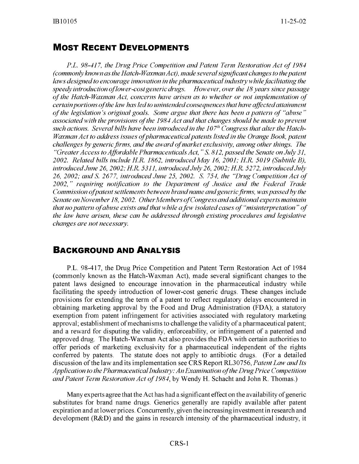#### MOST **RECENT DEVELOPMENTS**

*P.L. 98-417, the Drug Price Competition and Patent Term Restoration Act of 1984 (commonly known as the Hatch-Waxman Ac), made several significant changes to the patent laws designed to encourage innovation in the pharmaceutical industry while facilitating the speedy introduction oflower-cost generic drugs. However, over the 18 years since passage of the Hatch-Waxman Act, concerns have arisen as to whether or not implementation of certain portions of the law has led to unintended consequences that have affected attainment of the legislation's original goals. Some argue that there has been a pattern of "abuse" associated with the provisions of the 1984 Act and that changes should be made to prevent such actions. Several bills have been introduced in the 107'h Congress that alter the Hatch-Waxman Act to address issues of pharmaceutical patents listed in the Orange Book, patent challenges by generic firms, and the award of market exchsivity,* among *other things. The "Greater Access to Affordable Pharmaceuticals Act, "S. 812, passed the Senate on July 31, 2002. Related bills inchde H.R. 1862, introducedMay 16, 2001; H.R. 5019 (Subtitle B), introduced June 26, 2002; H.R. 5311, introducedJuly 26, 2002; H.R. 5272, introducedJuly 26, 2002; and S. 2677, introduced June 25, 2002. S. 754, the "Drug Competition Act of 2002, " requiring notification to the Department of Justice and the Federal Trade Commission ofpatent settlements between brandname and generic firms, was passed by the Senate on November 18, 2002. OtherMembers of Congress and additional experts maintain that no pattern of abuse exists and that while afew isolated cases of "misinterpretation" of the law have arisen, these can be addressed through existing procedures and legislative changes are not necessary.*

#### **BACKGROUND AND ANALYSIS**

P.L. 98-417, the Drug Price Competition and Patent Term Restoration Act of 1984 (commonly known as the Hatch-Waxman Act), made several significant changes to the patent laws designed to encourage innovation in the pharmaceutical industry while facilitating the speedy introduction of lower-cost generic drugs. These changes include provisions for extending the term of a patent to reflect regulatory delays encountered in obtaining marketing approval by the Food and Drug Administration (FDA); a statutory exemption from patent infringement for activities associated with regulatory marketing approval; establishment of mechanisms to challenge the validity of a pharmaceutical patent; and a reward for disputing the validity, enforceability, or infringement of a patented and approved drug. The Hatch-Waxman Act also provides the FDA with certain authorities to offer periods of marketing exclusivity for a pharmaceutical independent of the rights conferred by patents. The statute does not apply to antibiotic drugs. (For a detailed discussion of the law and its implementation see CRS Report RL30756, *Patent Law and Its Application to the Pharmaceutical Industry: An Examination of the Drug Price Competition andPatent Term Restoration Act of 1984,* by Wendy H. Schacht and John R. Thomas.)

Many experts agree that the Act has had a significant effect on the availability of generic substitutes for brand name drugs. Generics generally are rapidly available after patent expiration and at lower prices. Concurrently, given the increasing investment in research and development (R&D) and the gains in research intensity of the pharmaceutical industry, it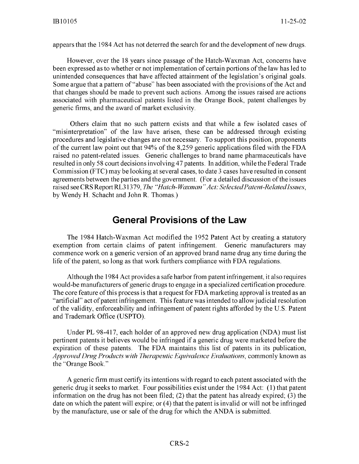appears that the 1984 Act has not deterred the search for and the development of new drugs.

However, over the 18 years since passage of the Hatch-Waxman Act, concerns have been expressed as to whether or not implementation of certain portions of the law has led to unintended consequences that have affected attainment of the legislation's original goals. Some argue that a pattern of "abuse" has been associated with the provisions of the Act and that changes should be made to prevent such actions. Among the issues raised are actions associated with pharmaceutical patents listed in the Orange Book, patent challenges by generic firms, and the award of market exclusivity.

Others claim that no such pattern exists and that while a few isolated cases of "misinterpretation" of the law have arisen, these can be addressed through existing procedures and legislative changes are not necessary. To support this position, proponents of the current law point out that  $94\%$  of the 8,259 generic applications filed with the FDA raised no patent-related issues. Generic challenges to brand name pharmaceuticals have resulted in only 58 court decisions involving 47 patents. In addition, while the Federal Trade Commission (FTC) may be looking at several cases, to date 3 cases have resulted in consent agreements between the parties and the government. (For a detailed discussion of the issues raised see CRS Report RL31379, *The "Hatch-Waxman "Act: SelectedPatent-RelatedIssues,* by Wendy H. Schacht and John R. Thomas.)

#### General Provisions of the Law

The 1984 Hatch-Waxman Act modified the 1952 Patent Act by creating a statutory exemption from certain claims of patent infringement. Generic manufacturers may commence work on a generic version of an approved brand name drug any time during the life of the patent, so long as that work furthers compliance with FDA regulations.

Although the 1984 Act provides a safe harbor from patent infringement, it also requires would-be manufacturers of generic drugs to engage in a specialized certification procedure. The core feature of this process is that a request for FDA marketing approval is treated as an "artificial" act of patent infringement. This feature was intended to allow judicial resolution of the validity, enforceability and infringement of patent rights afforded by the U.S. Patent and Trademark Office (USPTO).

Under PL 98-417, each holder of an approved new drug application (NDA) must list pertinent patents it believes would be infringed if a generic drug were marketed before the expiration of these patents. The FDA maintains this list of patents in its publication, *Approved Drug Products with Therapeutic Equivalence Evaluations,* commonly known as the "Orange Book."

A generic firm must certify its intentions with regard to each patent associated with the generic drug it seeks to market. Four possibilities exist under the 1984 Act: (1) that patent information on the drug has not been filed; (2) that the patent has already expired; (3) the date on which the patent will expire; or (4) that the patent is invalid or will not be infringed by the manufacture, use or sale of the drug for which the ANDA is submitted.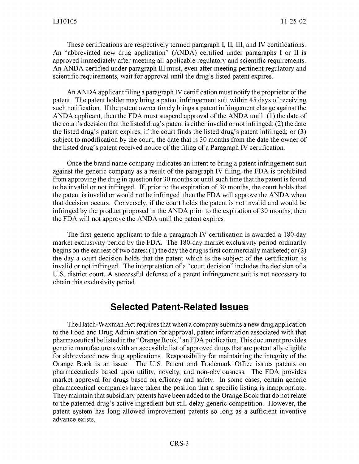These certifications are respectively termed paragraph I, **11,** 11I, and IV certifications. An "abbreviated new drug application" (ANDA) certified under paragraphs I or **11** is approved immediately after meeting all applicable regulatory and scientific requirements. An ANDA certified under paragraph III must, even after meeting pertinent regulatory and scientific requirements, wait for approval until the drug's listed patent expires.

An ANDA applicant filing a paragraph IV certification must notify the proprietor of the patent. The patent holder may bring a patent infringement suit within 45 days of receiving such notification. If the patent owner timely brings a patent infringement charge against the ANDA applicant, then the FDA must suspend approval of the ANDA until: (1) the date of the court's decision that the listed drug's patent is either invalid or not infringed; (2) the date the listed drug's patent expires, if the court finds the listed drug's patent infringed; or (3) subject to modification by the court, the date that is 30 months from the date the owner of the listed drug's patent received notice of the filing of a Paragraph IV certification.

Once the brand name company indicates an intent to bring a patent infringement suit against the generic company as a result of the paragraph IV filing, the FDA is prohibited from approving the drug in question for 30 months or until such time that the patent is found to be invalid or not infringed. If, prior to the expiration of 30 months, the court holds that the patent is invalid or would not be infringed, then the FDA will approve the ANDA when that decision occurs. Conversely, if the court holds the patent is not invalid and would be infringed by the product proposed in the ANDA prior to the expiration of 30 months, then the FDA will not approve the ANDA until the patent expires.

The first generic applicant to file a paragraph IV certification is awarded a 180-day market exclusivity period by the FDA. The 180-day market exclusivity period ordinarily begins on the earliest of two dates: (1) the day the drug is first commercially marketed; or (2) the day a court decision holds that the patent which is the subject of the certification is invalid or not infringed. The interpretation of a "court decision" includes the decision of a U.S. district court. A successful defense of a patent infringement suit is not necessary to obtain this exclusivity period.

#### Selected Patent-Related Issues

The Hatch-Waxman Act requires that when a company submits a new drug application to the Food and Drug Administration for approval, patent information associated with that pharmaceutical be listed in the "Orange Book," an FDA publication. This document provides generic manufacturers with an accessible list of approved drugs that are potentially eligible for abbreviated new drug applications. Responsibility for maintaining the integrity of the Orange Book is an issue. The U.S. Patent and Trademark Office issues patents on pharmaceuticals based upon utility, novelty, and non-obviousness. The FDA provides market approval for drugs based on efficacy and safety. In some cases, certain generic pharmaceutical companies have taken the position that a specific listing is inappropriate. They maintain that subsidiary patents have been added to the Orange Book that do not relate to the patented drug's active ingredient but still delay generic competition. However, the patent system has long allowed improvement patents so long as a sufficient inventive advance exists.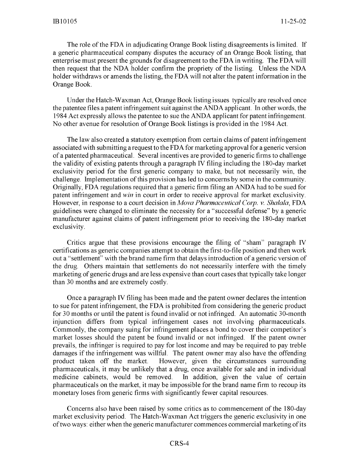The role of the FDA in adjudicating Orange Book listing disagreements is limited. If a generic pharmaceutical company disputes the accuracy of an Orange Book listing, that enterprise must present the grounds for disagreement to the FDA in writing. The FDA will then request that the NDA holder confirm the propriety of the listing. Unless the NDA holder withdraws or amends the listing, the FDA will not alter the patent information in the Orange Book.

Under the Hatch-Waxman Act, Orange Book listing issues typically are resolved once the patentee files a patent infringement suit against the ANDA applicant. In other words, the 1984 Act expressly allows the patentee to sue the ANDA applicant for patent infringement. No other avenue for resolution of Orange Book listings is provided in the 1984 Act.

The law also created a statutory exemption from certain claims of patent infringement associated with submitting a request to the FDA for marketing approval for a generic version of a patented pharmaceutical. Several incentives are provided to generic firms to challenge the validity of existing patents through a paragraph IV filing including the 180-day market exclusivity period for the first generic company to make, but not necessarily win, the challenge. Implementation of this provision has led to concerns by some in the community. Originally, FDA regulations required that a generic firm filing an ANDA had to be sued for patent infringement and *win* in court in order to receive approval for market exclusivity. However, in response to a court decision in *Mova Pharmaceutical Corp. v. Shalala,* FDA guidelines were changed to eliminate the necessity for a "successful defense" by a generic manufacturer against claims of patent infringement prior to receiving the 180-day market exclusivity.

Critics argue that these provisions encourage the filing of "sham" paragraph **IV** certifications as generic companies attempt to obtain the first-to-file position and then work out a "settlement" with the brand name firm that delays introduction of a generic version of the drug. Others maintain that settlements do not necessarily interfere with the timely marketing of generic drugs and are less expensive than court cases that typically take longer than 30 months and are extremely costly.

Once a paragraph IV filing has been made and the patent owner declares the intention to sue for patent infringement, the FDA is prohibited from considering the generic product for 30 months or until the patent is found invalid or not infringed. An automatic 30-month injunction differs from typical infringement cases not involving pharmaceuticals. Commonly, the company suing for infringement places a bond to cover their competitor's market losses should the patent be found invalid or not infringed. If the patent owner prevails, the infringer is required to pay for lost income and may be required to pay treble damages if the infringement was willful. The patent owner may also have the offending product taken off the market. However, given the circumstances surrounding pharmaceuticals, it may be unlikely that a drug, once available for sale and in individual medicine cabinets, would be removed. In addition, given the value of certain pharmaceuticals on the market, it may be impossible for the brand name firm to recoup its monetary loses from generic firms with significantly fewer capital resources.

Concerns also have been raised by some critics as to commencement of the 180-day market exclusivity period. The Hatch-Waxman Act triggers the generic exclusivity in one of two ways: either when the generic manufacturer commences commercial marketing of its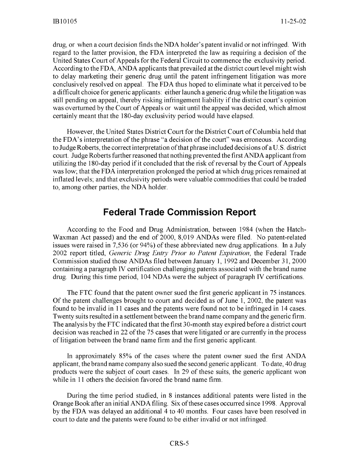drug, or when a court decision finds the NDA holder's patent invalid or not infringed. With regard to the latter provision, the FDA interpreted the law as requiring a decision of the United States Court of Appeals for the Federal Circuit to commence the exclusivity period. According to the FDA, ANDA applicants that prevailed at the district court level might wish to delay marketing their generic drug until the patent infringement litigation was more conclusively resolved on appeal. The FDA thus hoped to eliminate what it perceived to be a difficult choice for generic applicants: either launch a generic drug while the litigation was still pending on appeal, thereby risking infringement liability if the district court's opinion was overturned by the Court of Appeals or wait until the appeal was decided, which almost certainly meant that the 180-day exclusivity period would have elapsed.

However, the United States District Court for the District Court of Columbia held that the FDA's interpretation of the phrase "a decision of the court" was erroneous. According to Judge Roberts, the correct interpretation of that phrase included decisions of a U. S. district court. Judge Roberts further reasoned that nothing prevented the first ANDA applicant from utilizing the 180-day period if it concluded that the risk of reversal by the Court of Appeals was low; that the FDA interpretation prolonged the period at which drug prices remained at inflated levels; and that exclusivity periods were valuable commodities that could be traded to, among other parties, the NDA holder.

#### Federal Trade Commission Report

According to the Food and Drug Administration, between 1984 (when the Hatch-Waxman Act passed) and the end of 2000, 8,019 ANDAs were filed. No patent-related issues were raised in 7,536 (or 94%) of these abbreviated new drug applications. In a July 2002 report titled, *Generic Drug Entry Prior to Patent Expiration,* the Federal Trade Commission studied those ANDAs filed between January 1, 1992 and December 31, 2000 containing a paragraph IV certification challenging patents associated with the brand name drug. During this time period, 104 NDAs were the subject of paragraph IV certifications.

The FTC found that the patent owner sued the first generic applicant in 75 instances. Of the patent challenges brought to court and decided as of June 1, 2002, the patent was found to be invalid in 11 cases and the patents were found not to be infringed in 14 cases. Twenty suits resulted in a settlement between the brand name company and the generic firm. The analysis by the FTC indicated that the first 30-month stay expired before a district court decision was reached in 22 of the 75 cases that were litigated or are currently in the process of litigation between the brand name firm and the first generic applicant.

In approximately **85%** of the cases where the patent owner sued the first **ANDA** applicant, the brand name company also sued the second generic applicant. To date, 40 drug products were the subject of court cases. In 29 of these suits, the generic applicant won while in 11 others the decision favored the brand name firm.

During the time period studied, in 8 instances additional patents were listed in the Orange Book after an initial ANDA filing. Six of these cases occurred since 1998. Approval by the FDA was delayed an additional 4 to 40 months. Four cases have been resolved in court to date and the patents were found to be either invalid or not infringed.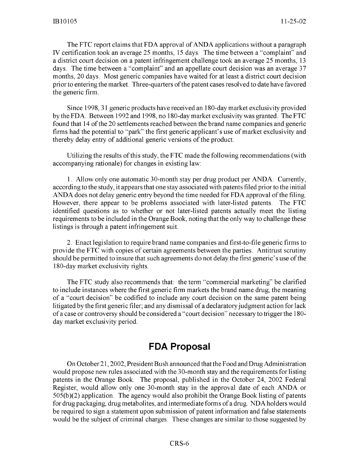The FTC report claims that FDA approval of ANDA applications without a paragraph IV certification took an average 25 months, 15 days. The time between a "complaint" and a district court decision on a patent infringement challenge took an average 25 months, 13 days. The time between a "complaint" and an appellate court decision was an average 37 months, 20 days. Most generic companies have waited for at least a district court decision prior to entering the market. Three-quarters of the patent cases resolved to date have favored the generic firm.

Since 1998, 31 generic products have received an 180-day market exclusivity provided by the FDA. Between 1992 and 1998, no 180-day market exclusivity was granted. The FTC found that 14 of the 20 settlements reached between the brand name companies and generic firms had the potential to "park" the first generic applicant's use of market exclusivity and thereby delay entry of additional generic versions of the product.

Utilizing the results of this study, the FTC made the following recommendations (with accompanying rationale) for changes in existing law:

1. Allow only one automatic 30-month stay per drug product per ANDA. Currently, according to the study, it appears that one stay associated with patents filed prior to the initial ANDA does not delay generic entry beyond the time needed for FDA approval of the filing. However, there appear to be problems associated with later-listed patents. The FTC identified questions as to whether or not later-listed patents actually meet the listing requirements to be included in the Orange Book, noting that the only way to challenge these listings is through a patent infringement suit.

2. Enact legislation to require brand name companies and first-to-file generic firms to provide the FTC with copies of certain agreements between the parties. Antitrust scrutiny should be permitted to insure that such agreements do not delay the first generic's use of the 180-day market exclusivity rights.

The FTC study also recommends that: the term "commercial marketing" be clarified to include instances where the first generic firm markets the brand name drug; the meaning of a "court decision" be codified to include any court decision on the same patent being litigated by the first generic filer; and any dismissal of a declaratory judgment action for lack of a case or controversy should be considered a "court decision" necessary to trigger the 180 day market exclusivity period.

## **FDA** Proposal

On October 21,2002, President Bush announced that the Food and Drug Administration would propose new rules associated with the 30-month stay and the requirements for listing patents in the Orange Book. The proposal, published in the October 24, 2002 Federal Register, would allow only one 30-month stay in the approval date of each ANDA or 505(b)(2) application. The agency would also prohibit the Orange Book listing of patents for drug packaging, drug metabolites, and intermediate forms of a drug. NDA holders would be required to sign a statement upon submission of patent information and false statements would be the subject of criminal charges. These changes are similar to those suggested by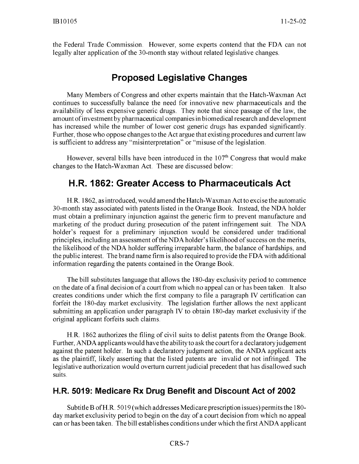the Federal Trade Commission. However, some experts contend that the FDA can not legally alter application of the 30-month stay without related legislative changes.

## Proposed Legislative Changes

Many Members of Congress and other experts maintain that the Hatch-Waxman Act continues to successfully balance the need for innovative new pharmaceuticals and the availability of less expensive generic drugs. They note that since passage of the law, the amount of investment by pharmaceutical companies in biomedical research and development has increased while the number of lower cost generic drugs has expanded significantly. Further, those who oppose changes to the Act argue that existing procedures and current law is sufficient to address any "misinterpretation" or "misuse of the legislation.

However, several bills have been introduced in the  $107<sup>th</sup>$  Congress that would make changes to the Hatch-Waxman Act. These are discussed below:

## H.R. **1862:** Greater Access to Pharmaceuticals Act

H.R. 1862, as introduced, would amend the Hatch-Waxman Act to excise the automatic 30-month stay associated with patents listed in the Orange Book. Instead, the NDA holder must obtain a preliminary injunction against the generic firm to prevent manufacture and marketing of the product during prosecution of the patent infringement suit. The NDA holder's request for a preliminary injunction would be considered under traditional principles, including an assessment of the NDA holder's likelihood of success on the merits, the likelihood of the NDA holder suffering irreparable harm, the balance of hardships, and the public interest. The brand name firm is also required to provide the FDA with additional information regarding the patents contained in the Orange Book.

The bill substitutes language that allows the 180-day exclusivity period to commence on the date of a final decision of a court from which no appeal can or has been taken. It also creates conditions under which the first company to file a paragraph IV certification can forfeit the 180-day market exclusivity. The legislation further allows the next applicant submitting an application under paragraph IV to obtain 180-day market exclusivity if the original applicant forfeits such claims.

H.R. 1862 authorizes the filing of civil suits to delist patents from the Orange Book. Further, ANDA applicants would have the ability to ask the court for a declaratoryj udgement against the patent holder. In such a declaratory judgment action, the ANDA applicant acts as the plaintiff, likely asserting that the listed patents are invalid or not infringed. The legislative authorization would overturn current judicial precedent that has disallowed such suits.

#### H.R. **5019:** Medicare Rx Drug Benefit and Discount Act of 2002

Subtitle B of H.R. 5019 (which addresses Medicare prescription issues) permits the 180 day market exclusivity period to begin on the day of a court decision from which no appeal can or has been taken. The bill establishes conditions under which the first ANDA applicant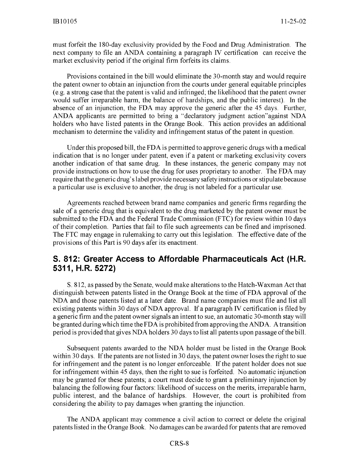must forfeit the 180-day exclusivity provided by the Food and Drug Administration. The next company to file an ANDA containing a paragraph IV certification can receive the market exclusivity period if the original firm forfeits its claims.

Provisions contained in the bill would eliminate the 30-month stay and would require the patent owner to obtain an injunction from the courts under general equitable principles (e.g. a strong case that the patent is valid and infringed; the likelihood that the patent owner would suffer irreparable harm, the balance of hardships, and the public interest). In the absence of an injunction, the FDA may approve the generic after the 45 days. Further, ANDA applicants are permitted to bring a "declaratory judgment action"against NDA holders who have listed patents in the Orange Book. This action provides an additional mechanism to determine the validity and infringement status of the patent in question.

Under this proposed bill, the FDA is permitted to approve generic drugs with a medical indication that is no longer under patent, even if a patent or marketing exclusivity covers another indication of that same drug. In these instances, the generic company may not provide instructions on how to use the drug for uses proprietary to another. The FDA may require that the generic drug's label provide necessary safety instructions or stipulate because a particular use is exclusive to another, the drug is not labeled for a particular use.

Agreements reached between brand name companies and generic firms regarding the sale of a generic drug that is equivalent to the drug marketed by the patent owner must be submitted to the FDA and the Federal Trade Commission (FTC) for review within 10 days of their completion. Parties that fail to file such agreements can be fined and imprisoned. The FTC may engage in rulemaking to carry out this legislation. The effective date of the provisions of this Part is 90 days afer its enactment.

#### **S. 812:** Greater Access to Affordable Pharmaceuticals Act (H.R. **5311,** H.R. **5272)**

**S.** 812, as passed by the Senate, would make alterations to the Hatch-Waxman Act that distinguish between patents listed in the Orange Book at the time of FDA approval of the NDA and those patents listed at a later date. Brand name companies must file and list all existing patents within 30 days of **NDA** approval. **If** a paragraph IV certification is filed by a generic firm and the patent owner signals an intent to sue, an automatic 30-month stay will be granted during which time the FDA is prohibited from approving the ANDA. A transition period is provided that gives NDA holders 30 days to list all patents upon passage of the bill.

Subsequent patents awarded to the NDA holder must be listed in the Orange Book within 30 days. If the patents are not listed in 30 days, the patent owner loses the right to sue for infringement and the patent is no longer enforceable. If the patent holder does not sue for infringement within 45 days, then the right to sue is forfeited. No automatic injunction may be granted for these patents; a court must decide to grant a preliminary injunction by balancing the following four factors: likelihood of success on the merits, irreparable harm, public interest, and the balance of hardships. However, the court is prohibited from considering the ability to pay damages when granting the injunction.

The ANDA applicant may commence a civil action to correct or delete the original patents listed in the Orange Book. No damages can be awarded for patents that are removed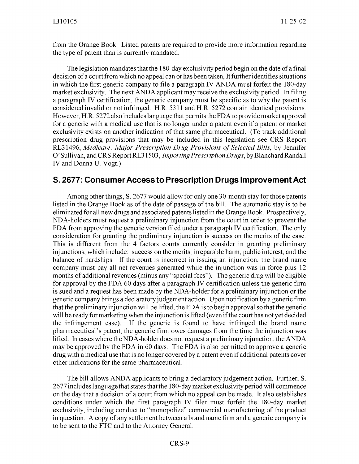from the Orange Book. Listed patents are required to provide more information regarding the type of patent than is currently mandated.

The legislation mandates that the 180-day exclusivity period begin on the date of a final decision of a court from which no appeal can or has been taken, It further identifies situations in which the first generic company to file a paragraph IV ANDA must forfeit the 180-day market exclusivity. The next ANDA applicant may receive the exclusivity period. In filing a paragraph IV certification, the generic company must be specific as to why the patent is considered invalid or not infringed. H.R. 5311 and H.R. 5272 contain identical provisions. However, H.R. 5272 also includes language that permits the FDA to provide market approval for a generic with a medical use that is no longer under a patent even if a patent or market exclusivity exists on another indication of that same pharmaceutical. (To track additional prescription drug provisions that may be included in this legislation see CRS Report RL31496, *Medicare: Major Prescription Drug Provisions of Selected Bills,* by Jennifer O'Sullivan, and CRS Report RL31503, *ImportingPrescription Drugs,* by Blanchard Randall IV and Donna U. Vogt.)

#### **S. 2677:** ConsumerAccess to Prescription Drugs Improvement Act

Among other things, **S.** 2677 would allow for only one 30-month stay for those patents listed in the Orange Book as of the date of passage of the bill. The automatic stay is to be eliminated for all new drugs and associated patents listed in the Orange Book. Prospectively, NDA-holders must request a preliminary injunction from the court in order to prevent the FDA from approving the generic version filed under a paragraph IV certification. The only consideration for granting the preliminary injunction is success on the merits of the case. This is different from the 4 factors courts currently consider in granting preliminary injunctions, which include: success on the merits, irreparable harm, public interest, and the balance of hardships. If the court is incorrect in issuing an injunction, the brand name company must pay all net revenues generated while the injunction was in force plus 12 months of additional revenues (minus any "special fees"). The generic drug will be eligible for approval by the FDA 60 days after a paragraph IV certification unless the generic firm is sued and a request has been made by the NDA-holder for a preliminary injunction or the generic company brings a declaratory judgement action. Upon notification by a generic firm that the preliminary injunction will be lifted, the FDA is to begin approval so that the generic will be ready for marketing when the injunction is lifted (even if the court has not yet decided the infringement case). If the generic is found to have infringed the brand name pharmaceutical's patent, the generic firm owes damages from the time the injunction was lifted. In cases where the NDA-holder does not request a preliminary injunction, the **ANDA** may be approved by the FDA in 60 days. The FDA is also permitted to approve a generic drug with a medical use that is no longer covered by a patent even if additional patents cover other indications for the same pharmaceutical.

The bill allows ANDA applicants to bring a declaratory judgement action. Further, S. 2677 includes language that states that the 180-day market exclusivity period will commence on the day that a decision of a court from which no appeal can be made. It also establishes conditions under which the first paragraph IV filer must forfeit the 180-day market exclusivity, including conduct to "monopolize" commercial manufacturing of the product in question. A copy of any settlement between a brand name firm and a generic company is to be sent to the FTC and to the Attorney General.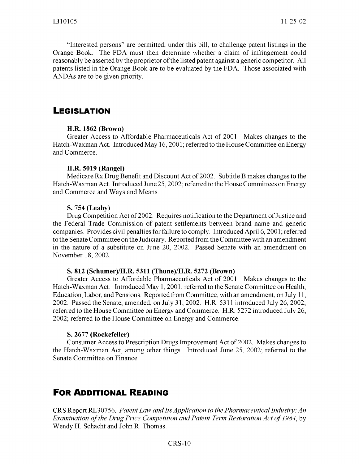"Interested persons" are permitted, under this bill, to challenge patent listings in the Orange Book. The FDA must then determine whether a claim of infringement could reasonably be asserted by the proprietor of the listed patent against a generic competitor. All patents listed in the Orange Book are to be evaluated by the FDA. Those associated with ANDAs are to be given priority.

#### **LEGISLATION**

#### H.R. **1862** (Brown)

Greater Access to Affordable Pharmaceuticals Act of 2001. Makes changes to the Hatch-Waxman Act. Introduced May 16, **2001;** referred to the House Committee on Energy and Commerce.

#### H.R. **5019** (Rangel)

Medicare Rx Drug Benefit and Discount Act of 2002. Subtitle B makes changes to the Hatch-Waxman Act. Introduced June 25, 2002; referred to the House Committees on Energy and Commerce and Ways and Means.

#### S. 754 (Leahy)

Drug Competition Act of 2002. Requires notification to the Department of Justice and the Federal Trade Commission of patent settlements between brand name and generic companies. Provides civil penalties for failure to comply. Introduced April 6, 2001; referred to the Senate Committee on the Judiciary. Reported from the Committee with an amendment in the nature of a substitute on June 20, 2002. Passed Senate with an amendment on November 18, 2002.

#### S. **812** (Schumer)/H.R. **5311** (Thune)/H.R. 5272 (Brown)

Greater Access to Affordable Pharmaceuticals Act of 2001. Makes changes to the Hatch-Waxman Act. Introduced May 1, 2001; referred to the Senate Committee on Health, Education, Labor, and Pensions. Reported from Committee, with an amendment, on July 11, 2002. Passed the Senate, amended, on July 31, 2002. H.R. 5311 introduced July 26, 2002; referred to the House Committee on Energy and Commerce. H.R. 5272 introduced July 26, 2002; referred to the House Committee on Energy and Commerce.

#### S. 2677 (Rockefeller)

Consumer Access to Prescription Drugs Improvement Act of 2002. Makes changes to the Hatch-Waxman Act, among other things. Introduced June 25, 2002; referred to the Senate Committee on Finance.

## FOR **ADDITIONAL READING**

CRS Report RL30756. *Patent Law and Its Application to the Pharmaceutical Industry: An Examination of the Drug Price Competition and Patent Term Restoration Act of 1984, by* Wendy H. Schacht and John R. Thomas.